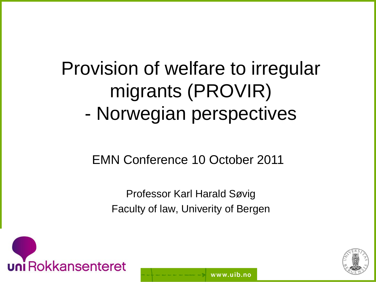# Provision of welfare to irregular migrants (PROVIR) - Norwegian perspectives

#### EMN Conference 10 October 2011

Professor Karl Harald Søvig Faculty of law, Univerity of Bergen

www.uib.no



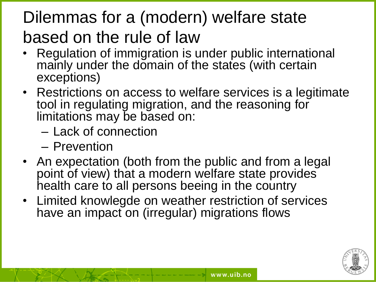## Dilemmas for a (modern) welfare state based on the rule of law

- Regulation of immigration is under public international mainly under the domain of the states (with certain exceptions)
- Restrictions on access to welfare services is a legitimate tool in regulating migration, and the reasoning for limitations may be based on:
	- Lack of connection
	- Prevention
- An expectation (both from the public and from a legal point of view) that a modern welfare state provides health care to all persons beeing in the country
- Limited knowlegde on weather restriction of services have an impact on (irregular) migrations flows

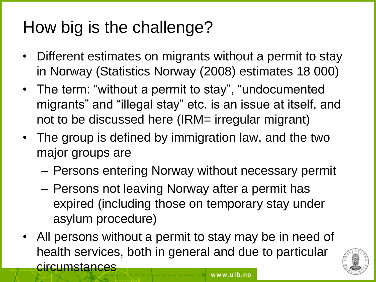## How big is the challenge?

- Different estimates on migrants without a permit to stay in Norway (Statistics Norway (2008) estimates 18 000)
- The term: "without a permit to stay", "undocumented migrants" and "illegal stay" etc. is an issue at itself, and not to be discussed here (IRM= irregular migrant)
- The group is defined by immigration law, and the two major groups are
	- Persons entering Norway without necessary permit
	- Persons not leaving Norway after a permit has expired (including those on temporary stay under asylum procedure)
- All persons without a permit to stay may be in need of health services, both in general and due to particular **circumstances**

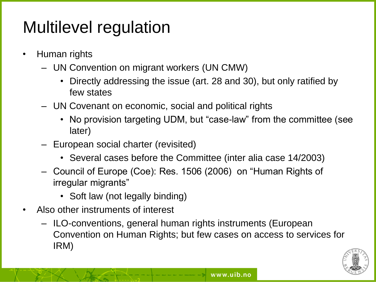## Multilevel regulation

- Human rights
	- UN Convention on migrant workers (UN CMW)
		- Directly addressing the issue (art. 28 and 30), but only ratified by few states
	- UN Covenant on economic, social and political rights
		- No provision targeting UDM, but "case-law" from the committee (see later)
	- European social charter (revisited)
		- Several cases before the Committee (inter alia case 14/2003)
	- Council of Europe (Coe): Res. 1506 (2006) on "Human Rights of irregular migrants"
		- Soft law (not legally binding)
- Also other instruments of interest
	- ILO-conventions, general human rights instruments (European Convention on Human Rights; but few cases on access to services for IRM)

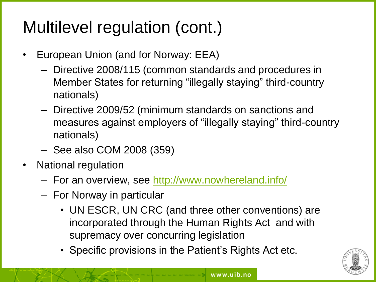## Multilevel regulation (cont.)

- European Union (and for Norway: EEA)
	- Directive 2008/115 (common standards and procedures in Member States for returning "illegally staying" third-country nationals)
	- Directive 2009/52 (minimum standards on sanctions and measures against employers of "illegally staying" third-country nationals)
	- See also COM 2008 (359)
- National regulation
	- For an overview, see <http://www.nowhereland.info/>
	- For Norway in particular
		- UN ESCR, UN CRC (and three other conventions) are incorporated through the Human Rights Act and with supremacy over concurring legislation
		- Specific provisions in the Patient's Rights Act etc.

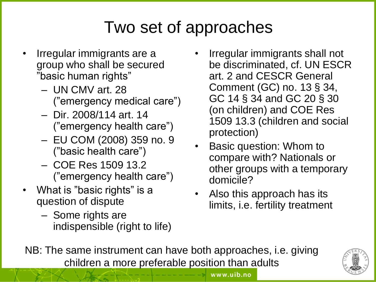## Two set of approaches

- Irregular immigrants are a group who shall be secured "basic human rights"
	- UN CMV art. 28 ("emergency medical care")
	- Dir. 2008/114 art. 14 ("emergency health care")
	- EU COM (2008) 359 no. 9 ("basic health care")
	- COE Res 1509 13.2 ("emergency health care")
- What is "basic rights" is a question of dispute
	- Some rights are indispensible (right to life)
- Irregular immigrants shall not be discriminated, cf. UN ESCR art. 2 and CESCR General Comment (GC) no. 13 § 34, GC 14 § 34 and GC 20 § 30 (on children) and COE Res 1509 13.3 (children and social protection)
- Basic question: Whom to compare with? Nationals or other groups with a temporary domicile?
- Also this approach has its limits, i.e. fertility treatment

www.uib.no

NB: The same instrument can have both approaches, i.e. giving children a more preferable position than adults

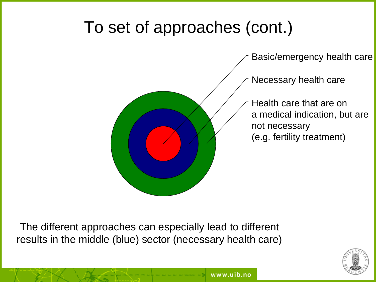#### To set of approaches (cont.)



The different approaches can especially lead to different results in the middle (blue) sector (necessary health care)

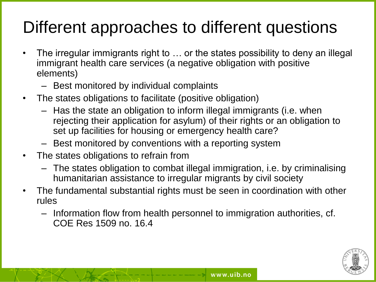## Different approaches to different questions

- The irregular immigrants right to ... or the states possibility to deny an illegal immigrant health care services (a negative obligation with positive elements)
	- Best monitored by individual complaints
- The states obligations to facilitate (positive obligation)
	- Has the state an obligation to inform illegal immigrants (i.e. when rejecting their application for asylum) of their rights or an obligation to set up facilities for housing or emergency health care?
	- Best monitored by conventions with a reporting system
- The states obligations to refrain from
	- The states obligation to combat illegal immigration, i.e. by criminalising humanitarian assistance to irregular migrants by civil society
- The fundamental substantial rights must be seen in coordination with other rules
	- Information flow from health personnel to immigration authorities, cf. COE Res 1509 no. 16.4

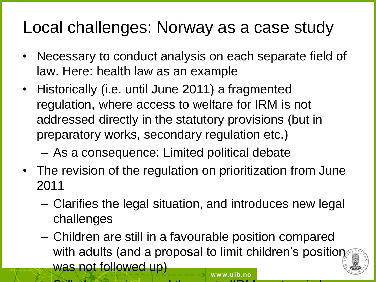#### Local challenges: Norway as a case study

- Necessary to conduct analysis on each separate field of law. Here: health law as an example
- Historically (i.e. until June 2011) a fragmented regulation, where access to welfare for IRM is not addressed directly in the statutory provisions (but in preparatory works, secondary regulation etc.)

– As a consequence: Limited political debate

- The revision of the regulation on prioritization from June 2011
	- Clarifies the legal situation, and introduces new legal challenges
	- Children are still in a favourable position compared with adults (and a proposal to limit children's position was not followed up) www.uib.no

– Still: the services and the services and the costs (IRM are to reimburse  $\sim$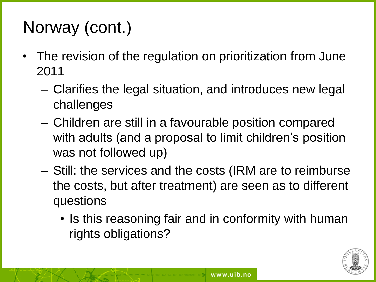## Norway (cont.)

- The revision of the regulation on prioritization from June 2011
	- Clarifies the legal situation, and introduces new legal challenges
	- Children are still in a favourable position compared with adults (and a proposal to limit children's position was not followed up)
	- Still: the services and the costs (IRM are to reimburse the costs, but after treatment) are seen as to different questions
		- Is this reasoning fair and in conformity with human rights obligations?

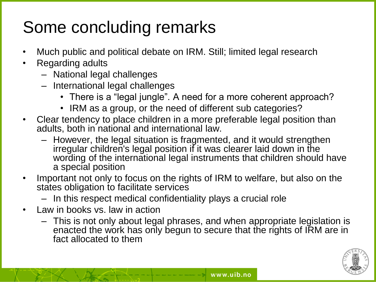## Some concluding remarks

- Much public and political debate on IRM. Still; limited legal research
- Regarding adults
	- National legal challenges
	- International legal challenges
		- There is a "legal jungle". A need for a more coherent approach?
		- IRM as a group, or the need of different sub categories?
- Clear tendency to place children in a more preferable legal position than adults, both in national and international law.
	- However, the legal situation is fragmented, and it would strengthen irregular children's legal position if it was clearer laid down in the wording of the international legal instruments that children should have a special position
- Important not only to focus on the rights of IRM to welfare, but also on the states obligation to facilitate services
	- In this respect medical confidentiality plays a crucial role
- Law in books vs. law in action
	- This is not only about legal phrases, and when appropriate legislation is enacted the work has only begun to secure that the rights of IRM are in fact allocated to them